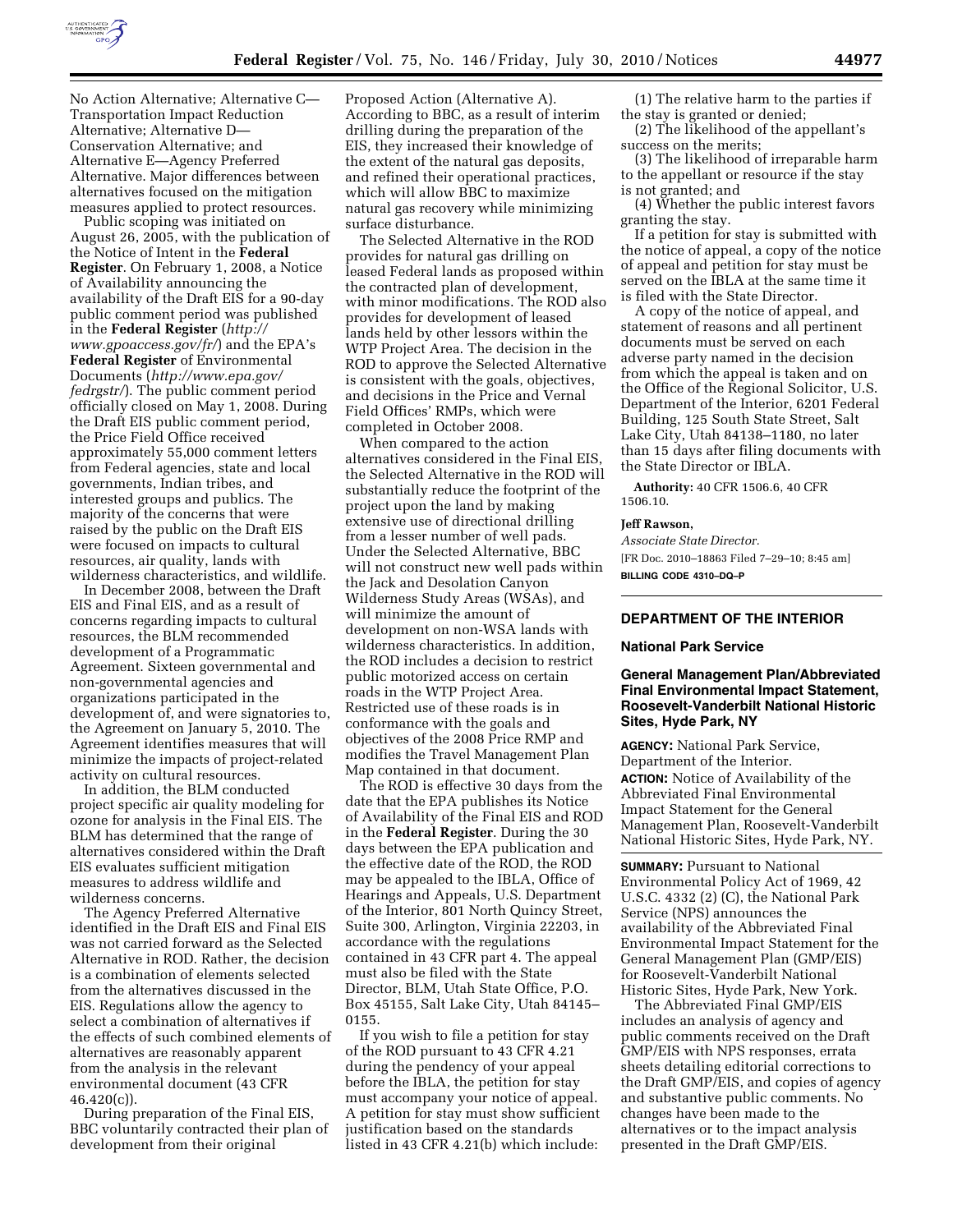

No Action Alternative; Alternative C— Transportation Impact Reduction Alternative; Alternative D— Conservation Alternative; and Alternative E—Agency Preferred Alternative. Major differences between alternatives focused on the mitigation measures applied to protect resources.

Public scoping was initiated on August 26, 2005, with the publication of the Notice of Intent in the **Federal Register**. On February 1, 2008, a Notice of Availability announcing the availability of the Draft EIS for a 90-day public comment period was published in the **Federal Register** (*[http://](http://www.gpoaccess.gov/fr/)  [www.gpoaccess.gov/fr/](http://www.gpoaccess.gov/fr/)*) and the EPA's **Federal Register** of Environmental Documents (*[http://www.epa.gov/](http://www.epa.gov/fedrgstr/)  [fedrgstr/](http://www.epa.gov/fedrgstr/)*). The public comment period officially closed on May 1, 2008. During the Draft EIS public comment period, the Price Field Office received approximately 55,000 comment letters from Federal agencies, state and local governments, Indian tribes, and interested groups and publics. The majority of the concerns that were raised by the public on the Draft EIS were focused on impacts to cultural resources, air quality, lands with wilderness characteristics, and wildlife.

In December 2008, between the Draft EIS and Final EIS, and as a result of concerns regarding impacts to cultural resources, the BLM recommended development of a Programmatic Agreement. Sixteen governmental and non-governmental agencies and organizations participated in the development of, and were signatories to, the Agreement on January 5, 2010. The Agreement identifies measures that will minimize the impacts of project-related activity on cultural resources.

In addition, the BLM conducted project specific air quality modeling for ozone for analysis in the Final EIS. The BLM has determined that the range of alternatives considered within the Draft EIS evaluates sufficient mitigation measures to address wildlife and wilderness concerns.

The Agency Preferred Alternative identified in the Draft EIS and Final EIS was not carried forward as the Selected Alternative in ROD. Rather, the decision is a combination of elements selected from the alternatives discussed in the EIS. Regulations allow the agency to select a combination of alternatives if the effects of such combined elements of alternatives are reasonably apparent from the analysis in the relevant environmental document (43 CFR 46.420(c)).

During preparation of the Final EIS, BBC voluntarily contracted their plan of development from their original

Proposed Action (Alternative A). According to BBC, as a result of interim drilling during the preparation of the EIS, they increased their knowledge of the extent of the natural gas deposits, and refined their operational practices, which will allow BBC to maximize natural gas recovery while minimizing surface disturbance.

The Selected Alternative in the ROD provides for natural gas drilling on leased Federal lands as proposed within the contracted plan of development, with minor modifications. The ROD also provides for development of leased lands held by other lessors within the WTP Project Area. The decision in the ROD to approve the Selected Alternative is consistent with the goals, objectives, and decisions in the Price and Vernal Field Offices' RMPs, which were completed in October 2008.

When compared to the action alternatives considered in the Final EIS, the Selected Alternative in the ROD will substantially reduce the footprint of the project upon the land by making extensive use of directional drilling from a lesser number of well pads. Under the Selected Alternative, BBC will not construct new well pads within the Jack and Desolation Canyon Wilderness Study Areas (WSAs), and will minimize the amount of development on non-WSA lands with wilderness characteristics. In addition, the ROD includes a decision to restrict public motorized access on certain roads in the WTP Project Area. Restricted use of these roads is in conformance with the goals and objectives of the 2008 Price RMP and modifies the Travel Management Plan Map contained in that document.

The ROD is effective 30 days from the date that the EPA publishes its Notice of Availability of the Final EIS and ROD in the **Federal Register**. During the 30 days between the EPA publication and the effective date of the ROD, the ROD may be appealed to the IBLA, Office of Hearings and Appeals, U.S. Department of the Interior, 801 North Quincy Street, Suite 300, Arlington, Virginia 22203, in accordance with the regulations contained in 43 CFR part 4. The appeal must also be filed with the State Director, BLM, Utah State Office, P.O. Box 45155, Salt Lake City, Utah 84145– 0155.

If you wish to file a petition for stay of the ROD pursuant to 43 CFR 4.21 during the pendency of your appeal before the IBLA, the petition for stay must accompany your notice of appeal. A petition for stay must show sufficient justification based on the standards listed in 43 CFR 4.21(b) which include:

(1) The relative harm to the parties if the stay is granted or denied;

(2) The likelihood of the appellant's success on the merits;

(3) The likelihood of irreparable harm to the appellant or resource if the stay is not granted; and

(4) Whether the public interest favors granting the stay.

If a petition for stay is submitted with the notice of appeal, a copy of the notice of appeal and petition for stay must be served on the IBLA at the same time it is filed with the State Director.

A copy of the notice of appeal, and statement of reasons and all pertinent documents must be served on each adverse party named in the decision from which the appeal is taken and on the Office of the Regional Solicitor, U.S. Department of the Interior, 6201 Federal Building, 125 South State Street, Salt Lake City, Utah 84138–1180, no later than 15 days after filing documents with the State Director or IBLA.

**Authority:** 40 CFR 1506.6, 40 CFR 1506.10.

### **Jeff Rawson,**

*Associate State Director.*  [FR Doc. 2010–18863 Filed 7–29–10; 8:45 am] **BILLING CODE 4310–DQ–P** 

## **DEPARTMENT OF THE INTERIOR**

#### **National Park Service**

# **General Management Plan/Abbreviated Final Environmental Impact Statement, Roosevelt-Vanderbilt National Historic Sites, Hyde Park, NY**

**AGENCY:** National Park Service, Department of the Interior.

**ACTION:** Notice of Availability of the Abbreviated Final Environmental Impact Statement for the General Management Plan, Roosevelt-Vanderbilt National Historic Sites, Hyde Park, NY.

**SUMMARY: Pursuant to National** Environmental Policy Act of 1969, 42 U.S.C. 4332 (2) (C), the National Park Service (NPS) announces the availability of the Abbreviated Final Environmental Impact Statement for the General Management Plan (GMP/EIS) for Roosevelt-Vanderbilt National Historic Sites, Hyde Park, New York.

The Abbreviated Final GMP/EIS includes an analysis of agency and public comments received on the Draft GMP/EIS with NPS responses, errata sheets detailing editorial corrections to the Draft GMP/EIS, and copies of agency and substantive public comments. No changes have been made to the alternatives or to the impact analysis presented in the Draft GMP/EIS.